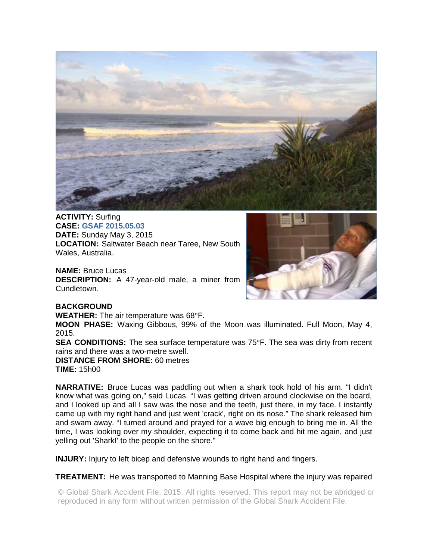

**ACTIVITY:** Surfing **CASE: GSAF 2015.05.03 DATE:** Sunday May 3, 2015 **LOCATION:** Saltwater Beach near Taree, New South Wales, Australia.

**NAME:** Bruce Lucas **DESCRIPTION:** A 47-year-old male, a miner from Cundletown.



## **BACKGROUND**

**WEATHER:** The air temperature was 68°F.

**MOON PHASE:** Waxing Gibbous, 99% of the Moon was illuminated. Full Moon, May 4, 2015.

**SEA CONDITIONS:** The sea surface temperature was 75°F. The sea was dirty from recent rains and there was a two-metre swell.

**DISTANCE FROM SHORE:** 60 metres **TIME:** 15h00

**NARRATIVE:** Bruce Lucas was paddling out when a shark took hold of his arm. "I didn't know what was going on," said Lucas. "I was getting driven around clockwise on the board, and I looked up and all I saw was the nose and the teeth, just there, in my face. I instantly came up with my right hand and just went 'crack', right on its nose." The shark released him and swam away. "I turned around and prayed for a wave big enough to bring me in. All the time, I was looking over my shoulder, expecting it to come back and hit me again, and just yelling out 'Shark!' to the people on the shore."

**INJURY:** Injury to left bicep and defensive wounds to right hand and fingers.

## **TREATMENT:** He was transported to Manning Base Hospital where the injury was repaired

© Global Shark Accident File, 2015. All rights reserved. This report may not be abridged or reproduced in any form without written permission of the Global Shark Accident File.